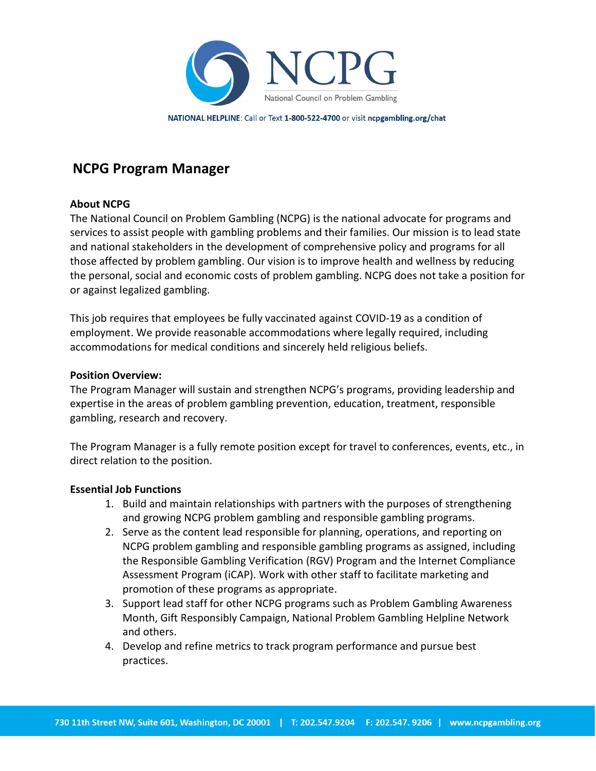

NATIONAL HELPLINE: Call or Text 1-800-522-4700 or visit ncpgambling.org/chat

# NCPG Program Manager

## About NCPG

The National Council on Problem Gambling (NCPG) is the national advocate for programs and services to assist people with gambling problems and their families. Our mission is to lead state and national stakeholders in the development of comprehensive policy and programs for all those affected by problem gambling. Our vision is to improve health and wellness by reducing the personal, social and economic costs of problem gambling. NCPG does not take a position for or against legalized gambling.

This job requires that employees be fully vaccinated against COVID-19 as a condition of employment. We provide reasonable accommodations where legally required, including accommodations for medical conditions and sincerely held religious beliefs.

## Position Overview:

The Program Manager will sustain and strengthen NCPG's programs, providing leadership and expertise in the areas of problem gambling prevention, education, treatment, responsible gambling, research and recovery.

The Program Manager is a fully remote position except for travel to conferences, events, etc., in direct relation to the position.

### Essential Job Functions

- 1. Build and maintain relationships with partners with the purposes of strengthening and growing NCPG problem gambling and responsible gambling programs.
- 2. Serve as the content lead responsible for planning, operations, and reporting on NCPG problem gambling and responsible gambling programs as assigned, including the Responsible Gambling Verification (RGV) Program and the Internet Compliance Assessment Program (iCAP). Work with other staff to facilitate marketing and promotion of these programs as appropriate.
- 3. Support lead staff for other NCPG programs such as Problem Gambling Awareness Month, Gift Responsibly Campaign, National Problem Gambling Helpline Network and others.
- 4. Develop and refine metrics to track program performance and pursue best practices.